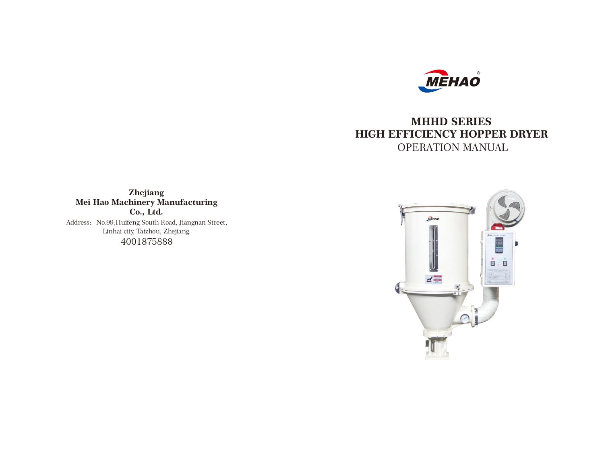

# **MHHD SERIES HIGH EFFICIENCY HOPPER DRYER** OPERATION MANUAL

**Zhejiang Mei Hao Machinery Manufacturing Co., Ltd.** Address: No.99, Huifeng South Road, Jiangnan Street,

> Linhai city, Taizhou, Zhejiang. 4001875888

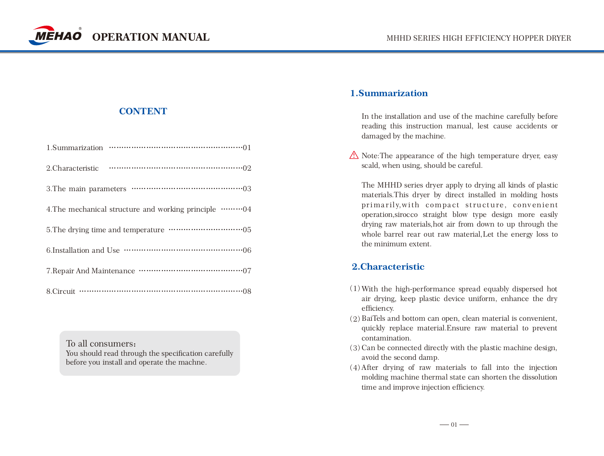

# **CONTENT**

| 4. The mechanical structure and working principle ………… 04 |
|-----------------------------------------------------------|
|                                                           |
|                                                           |
|                                                           |
|                                                           |

To all consumers: You should read through the specification carefully before you install and operate the machne.

# **1.Summarization**

In the installation and use of the machine carefully before reading this instruction manual, lest cause accidents or damaged by the machine.

 $\triangle$  Note: The appearance of the high temperature dryer, easy scald, when using, should be careful.

The MHHD series dryer apply to drying all kinds of plastic materials.This dryer by direct installed in molding hosts primarily, with compact structure, convenient operation,sirocco straight blow type design more easily drying raw materials,hot air from down to up through the whole barrel rear out raw material,Let the energy loss to the minimum extent.

# **2.Characteristic**

- With the high-performance spread equably dispersed hot (1) air drying, keep plastic device uniform, enhance the dry efficiency.
- $(2)$  BaiTels and bottom can open, clean material is convenient, quickly replace material.Ensure raw material to prevent contamination.
- (3) Can be connected directly with the plastic machine design, avoid the second damp.
- $(4)$  After drying of raw materials to fall into the injection molding machine thermal state can shorten the dissolution time and improve injection efficiency.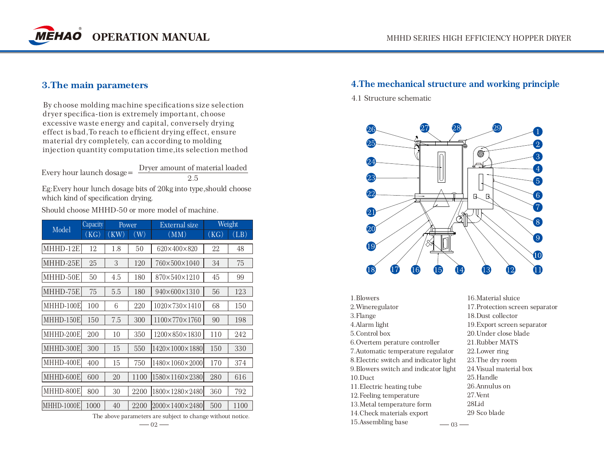

### **3.The main parameters**

By choose molding machine specifications size selection dryer specifica-tion is extremely important, choose excessive waste energy and capital, conversely drying effect is bad,To reach to efficient drying effect, ensure material dry completely, can according to molding injection quantity computation time,its selection method

Every hour launch dosage= Dryer amount of material loaded 2.5

Eg:Every hour lunch dosage bits of 20kg into type,should choose which kind of specification drying.

Should choose MHHD-50 or more model of machine.

| Model      | Capacity | Power |      | External size                 | Weight |      |
|------------|----------|-------|------|-------------------------------|--------|------|
|            | (KG)     | (KW)  | (W)  | (MM)                          | (KG)   | (LB) |
| MHHD-12E   | 12       | 1.8   | 50   | 620×400×820                   | 22     | 48   |
| MHHD-25E   | 25       | 3     | 120  | 760×500×1040                  | 34     | 75   |
| MHHD-50E   | 50       | 4.5   | 180  | 870×540×1210                  | 45     | 99   |
| MHHD-75E   | 75       | 5.5   | 180  | 940×600×1310                  | 56     | 123  |
| MHHD-100E  | 100      | 6     | 220  | $1020 \times 730 \times 1410$ | 68     | 150  |
| MHHD-150E  | 150      | 7.5   | 300  | $1100 \times 770 \times 1760$ | 90     | 198  |
| MHHD-200E  | 200      | 10    | 350  | 1200×850×1830                 | 110    | 242  |
| MHHD-300E  | 300      | 15    | 550  | 1420×1000×1880                | 150    | 330  |
| MHHD-400E  | 400      | 15    | 750  | 1480×1060×2000                | 170    | 374  |
| MHHD-600El | 600      | 20    | 1100 | 1580×1160×2380                | 280    | 616  |
| MHHD-800E  | 800      | 30    | 2200 | 1800×1280×2480                | 360    | 792  |
| MHHD-1000E | 1000     | 40    | 2200 | 2000×1400×2480                | 500    | 1100 |

The above parameters are subject to change without notice.

### **4.The mechanical structure and working principle**

4.1 Structure schematic



16.Material sluice 17.Protection screen separator 18.Dust collector 19.Export screen separator 20.Under close blade 21.Rubber MATS 22.Lower ring 23.The dry room 24.Visual material box 25.Handle 26.Annulus on 27.Vent 28Lid 29 Sco blade 1.Blowers 2.Wineregulator 3.Flange 4.Alarm light 5.Control box 6.Overtem perature controller 7.Automatic temperature regulator 8.Electric switch and indicator light 9.Blowers switch and indicator light 10.Duct 11.Electric heating tube 12.Feeling temperature 13.Metal temperature form 14.Check materials export  $15.$ Assembling base  $-03 -$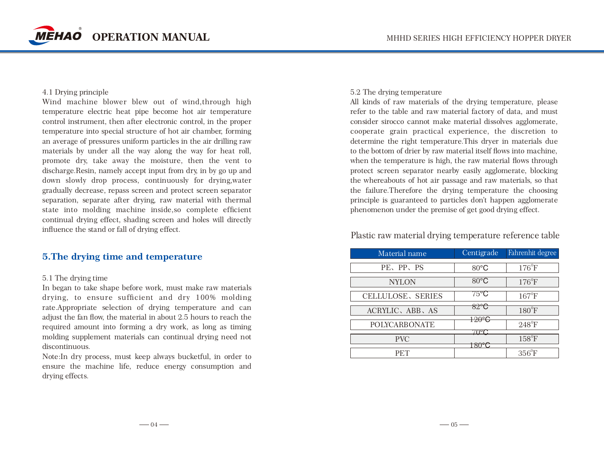

#### 4.1 Drying principle

Wind machine blower blew out of wind,through high temperature electric heat pipe become hot air temperature control instrument, then after electronic control, in the proper temperature into special structure of hot air chamber, forming an average of pressures uniform particles in the air drilling raw materials by under all the way along the way for heat roll, promote dry, take away the moisture, then the vent to discharge.Resin, namely accept input from dry, in by go up and down slowly drop process, continuously for drying,water gradually decrease, repass screen and protect screen separator separation, separate after drying, raw material with thermal state into molding machine inside,so complete efficient continual drying effect, shading screen and holes will directly influence the stand or fall of drying effect.

### **5.The drying time and temperature**

### 5.1 The drying time

In began to take shape before work, must make raw materials drying, to ensure sufficient and dry 100% molding rate.Appropriate selection of drying temperature and can adjust the fan flow, the material in about 2.5 hours to reach the required amount into forming a dry work, as long as timing molding supplement materials can continual drying need not discontinuous.

Note:In dry process, must keep always bucketful, in order to ensure the machine life, reduce energy consumption and drying effects.

#### 5.2 The drying temperature

All kinds of raw materials of the drying temperature, please refer to the table and raw material factory of data, and must consider sirocco cannot make material dissolves agglomerate, cooperate grain practical experience, the discretion to determine the right temperature.This dryer in materials due to the bottom of drier by raw material itself flows into machine, when the temperature is high, the raw material flows through protect screen separator nearby easily agglomerate, blocking the whereabouts of hot air passage and raw materials, so that the failure.Therefore the drying temperature the choosing principle is guaranteed to particles don't happen agglomerate phenomenon under the premise of get good drying effect.

## Plastic raw material drying temperature reference table

| Material name        | Centigrade             | Fahrenhit degree |
|----------------------|------------------------|------------------|
| PE、PP、PS             | 80°C                   | $176^{\circ}F$   |
| <b>NYLON</b>         | $80^{\circ}$ C         | $176^{\circ}F$   |
| CELLULOSE, SERIES    | $75^{\circ}\mathrm{C}$ | $167^{\circ}F$   |
| ACRYLIC, ABB, AS     | 82°C                   | $180^{\circ}$ F  |
| <b>POLYCARBONATE</b> | 120° <del>C</del>      | $248^{\circ}F$   |
| <b>PVC</b>           |                        | $158^{\circ}$ F  |
|                      |                        | $356^{\circ}$ F  |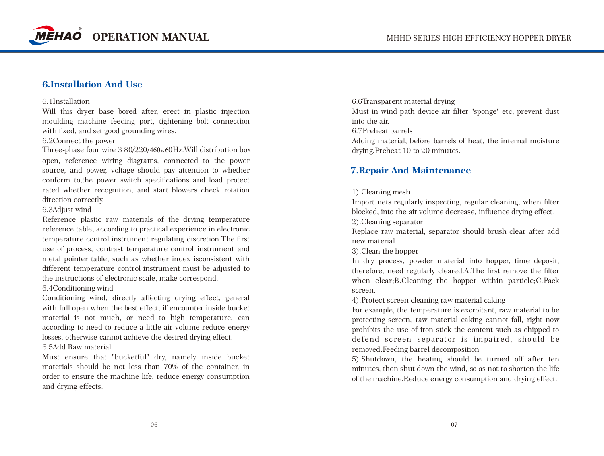

### **6.Installation And Use**

#### 6.1Installation

Will this dryer base bored after, erect in plastic injection moulding machine feeding port, tightening bolt connection with fixed, and set good grounding wires.

### 6.2Connect the power

Three-phase four wire 3 80/220/460v.60Hz.Will distribution box open, reference wiring diagrams, connected to the power source, and power, voltage should pay attention to whether conform to,the power switch specifications and load protect rated whether recognition, and start blowers check rotation direction correctly.

### 6.3Adjust wind

Reference plastic raw materials of the drying temperature reference table, according to practical experience in electronic temperature control instrument regulating discretion.The first use of process, contrast temperature control instrument and metal pointer table, such as whether index isconsistent with different temperature control instrument must be adjusted to the instructions of electronic scale, make correspond.

### 6.4Conditioning wind

Conditioning wind, directly affecting drying effect, general with full open when the best effect, if encounter inside bucket material is not much, or need to high temperature, can according to need to reduce a little air volume reduce energy losses, otherwise cannot achieve the desired drying effect.

6.5Add Raw material

Must ensure that "bucketful" dry, namely inside bucket materials should be not less than 70% of the container, in order to ensure the machine life, reduce energy consumption and drying effects.

6.6Transparent material drying Must in wind path device air filter "sponge" etc, prevent dust into the air. 6.7Preheat barrels Adding material, before barrels of heat, the internal moisture drying.Preheat 10 to 20 minutes.

### **7.Repair And Maintenance**

### 1).Cleaning mesh

Import nets regularly inspecting, regular cleaning, when filter blocked, into the air volume decrease, influence drying effect.

2).Cleaning separator

Replace raw material, separator should brush clear after add new material.

3).Clean the hopper

In dry process, powder material into hopper, time deposit, therefore, need regularly cleared.A.The first remove the filter when clear;B.Cleaning the hopper within particle;C.Pack screen.

4).Protect screen cleaning raw material caking

For example, the temperature is exorbitant, raw material to be protecting screen, raw material caking cannot fall, right now prohibits the use of iron stick the content such as chipped to defend screen separator is impaired, should be removed.Feeding barrel decomposition

5).Shutdown, the heating should be turned off after ten minutes, then shut down the wind, so as not to shorten the life of the machine.Reduce energy consumption and drying effect.